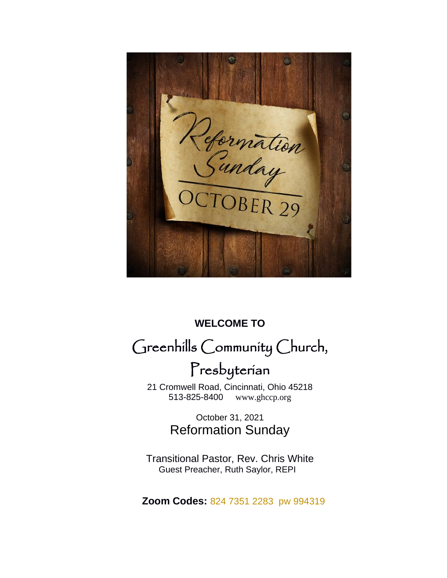Refermation

# **WELCOME TO** Greenhills Community Church,

# Presbyterian

 21 Cromwell Road, Cincinnati, Ohio 45218 [www.ghccp.org](http://www.ghccp.org/)

> October 31, 2021 Reformation Sunday

Transitional Pastor, Rev. Chris White Guest Preacher, Ruth Saylor, REPI

 **Zoom Codes:** 824 7351 2283 pw 994319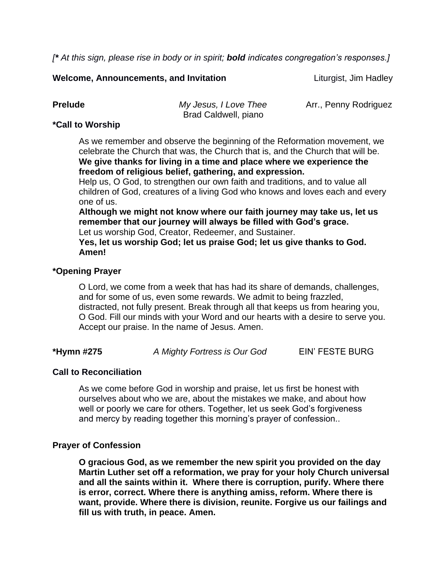*[\* At this sign, please rise in body or in spirit; bold indicates congregation's responses.]*

**Welcome, Announcements, and Invitation** *Liturgist, Jim Hadley* 

**Prelude** *My Jesus, I Love Thee* Arr., Penny Rodriguez Brad Caldwell, piano

## **\*Call to Worship**

As we remember and observe the beginning of the Reformation movement, we celebrate the Church that was, the Church that is, and the Church that will be. **We give thanks for living in a time and place where we experience the freedom of religious belief, gathering, and expression.**

Help us, O God, to strengthen our own faith and traditions, and to value all children of God, creatures of a living God who knows and loves each and every one of us.

**Although we might not know where our faith journey may take us, let us remember that our journey will always be filled with God's grace.**

Let us worship God, Creator, Redeemer, and Sustainer.

**Yes, let us worship God; let us praise God; let us give thanks to God. Amen!**

## **\*Opening Prayer**

O Lord, we come from a week that has had its share of demands, challenges, and for some of us, even some rewards. We admit to being frazzled, distracted, not fully present. Break through all that keeps us from hearing you, O God. Fill our minds with your Word and our hearts with a desire to serve you. Accept our praise. In the name of Jesus. Amen.

**\*Hymn #275** *A Mighty Fortress is Our God* EIN' FESTE BURG

# **Call to Reconciliation**

As we come before God in worship and praise, let us first be honest with ourselves about who we are, about the mistakes we make, and about how well or poorly we care for others. Together, let us seek God's forgiveness and mercy by reading together this morning's prayer of confession..

### **Prayer of Confession**

**O gracious God, as we remember the new spirit you provided on the day Martin Luther set off a reformation, we pray for your holy Church universal and all the saints within it. Where there is corruption, purify. Where there is error, correct. Where there is anything amiss, reform. Where there is want, provide. Where there is division, reunite. Forgive us our failings and fill us with truth, in peace. Amen.**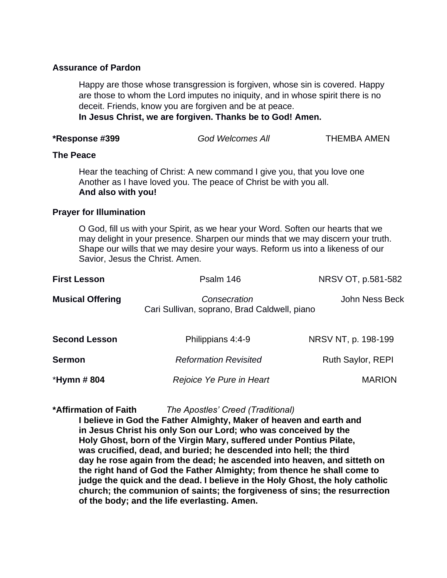### **Assurance of Pardon**

Happy are those whose transgression is forgiven, whose sin is covered. Happy are those to whom the Lord imputes no iniquity, and in whose spirit there is no deceit. Friends, know you are forgiven and be at peace.

**In Jesus Christ, we are forgiven. Thanks be to God! Amen.**

| *Response #399                 | <b>God Welcomes All</b>                                                                                                                                                                                                                                                                  | <b>THEMBA AMEN</b>  |  |  |  |
|--------------------------------|------------------------------------------------------------------------------------------------------------------------------------------------------------------------------------------------------------------------------------------------------------------------------------------|---------------------|--|--|--|
| <b>The Peace</b>               |                                                                                                                                                                                                                                                                                          |                     |  |  |  |
|                                | Hear the teaching of Christ: A new command I give you, that you love one<br>Another as I have loved you. The peace of Christ be with you all.<br>And also with you!                                                                                                                      |                     |  |  |  |
| <b>Prayer for Illumination</b> |                                                                                                                                                                                                                                                                                          |                     |  |  |  |
|                                | O God, fill us with your Spirit, as we hear your Word. Soften our hearts that we<br>may delight in your presence. Sharpen our minds that we may discern your truth.<br>Shape our wills that we may desire your ways. Reform us into a likeness of our<br>Savior, Jesus the Christ. Amen. |                     |  |  |  |
| <b>First Lesson</b>            | Psalm 146                                                                                                                                                                                                                                                                                | NRSV OT, p.581-582  |  |  |  |
| <b>Musical Offering</b>        | Consecration<br>Cari Sullivan, soprano, Brad Caldwell, piano                                                                                                                                                                                                                             | John Ness Beck      |  |  |  |
| <b>Second Lesson</b>           | Philippians 4:4-9                                                                                                                                                                                                                                                                        | NRSV NT, p. 198-199 |  |  |  |
| <b>Sermon</b>                  | <b>Reformation Revisited</b>                                                                                                                                                                                                                                                             | Ruth Saylor, REPI   |  |  |  |
| *Hymn # 804                    | Rejoice Ye Pure in Heart                                                                                                                                                                                                                                                                 | <b>MARION</b>       |  |  |  |

#### **\*Affirmation of Faith** *The Apostles' Creed (Traditional)*

**I believe in God the Father Almighty, Maker of heaven and earth and in Jesus Christ his only Son our Lord; who was conceived by the Holy Ghost, born of the Virgin Mary, suffered under Pontius Pilate, was crucified, dead, and buried; he descended into hell; the third day he rose again from the dead; he ascended into heaven, and sitteth on the right hand of God the Father Almighty; from thence he shall come to judge the quick and the dead. I believe in the Holy Ghost, the holy catholic church; the communion of saints; the forgiveness of sins; the resurrection of the body; and the life everlasting. Amen.**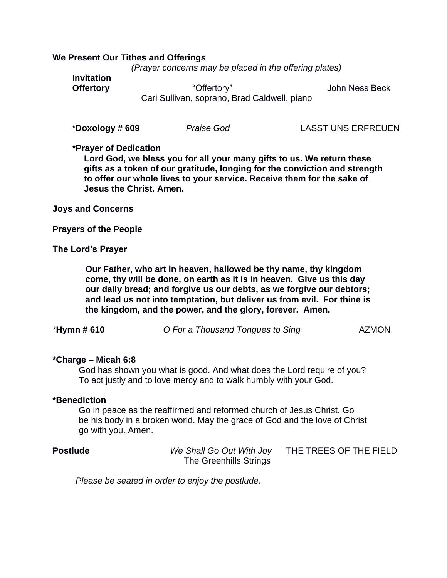#### **We Present Our Tithes and Offerings**

*(Prayer concerns may be placed in the offering plates)*

**Invitation**

**Offertory** "Offertory" John Ness Beck Cari Sullivan, soprano, Brad Caldwell, piano

\***Doxology # 609** *Praise God* LASST UNS ERFREUEN

#### **\*Prayer of Dedication**

**Lord God, we bless you for all your many gifts to us. We return these gifts as a token of our gratitude, longing for the conviction and strength to offer our whole lives to your service. Receive them for the sake of Jesus the Christ. Amen.** 

**Joys and Concerns**

**Prayers of the People**

#### **The Lord's Prayer**

**Our Father, who art in heaven, hallowed be thy name, thy kingdom come, thy will be done, on earth as it is in heaven. Give us this day our daily bread; and forgive us our debts, as we forgive our debtors; and lead us not into temptation, but deliver us from evil. For thine is the kingdom, and the power, and the glory, forever. Amen.**

| *Hymn # 610 | O For a Thousand Tongues to Sing | <b>AZMON</b> |
|-------------|----------------------------------|--------------|
|-------------|----------------------------------|--------------|

#### **\*Charge – Micah 6:8**

God has shown you what is good. And what does the Lord require of you? To act justly and to love mercy and to walk humbly with your God.

#### **\*Benediction**

Go in peace as the reaffirmed and reformed church of Jesus Christ. Go be his body in a broken world. May the grace of God and the love of Christ go with you. Amen.

| Postlude | We Shall Go Out With Joy | THE TREES OF THE FIELD |
|----------|--------------------------|------------------------|
|          | The Greenhills Strings   |                        |

*Please be seated in order to enjoy the postlude.*